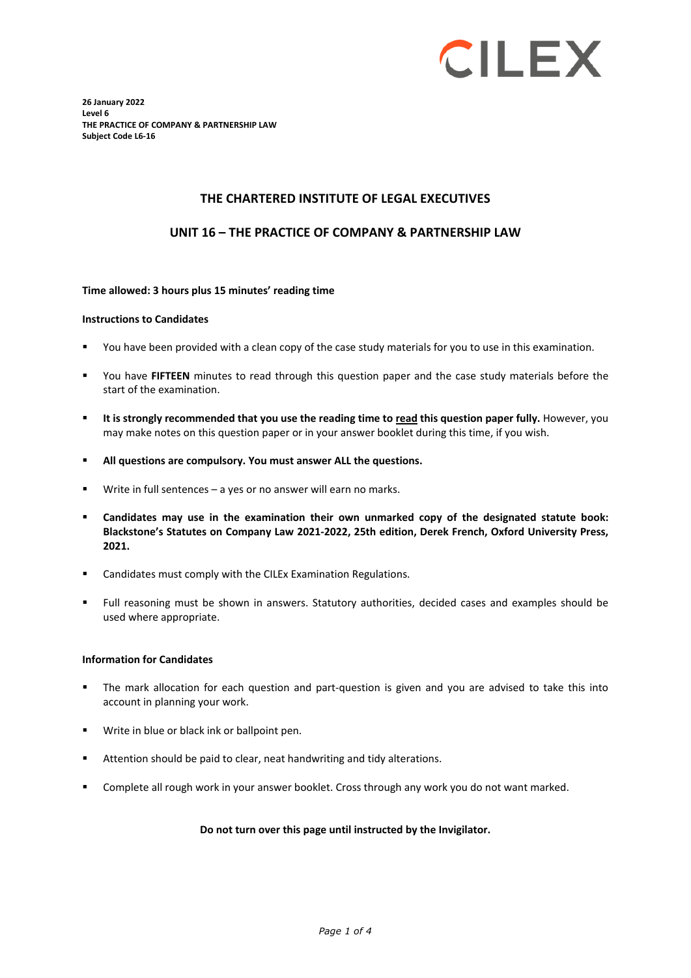

**26 January 2022 Level 6 THE PRACTICE OF COMPANY & PARTNERSHIP LAW Subject Code L6-16**

### **THE CHARTERED INSTITUTE OF LEGAL EXECUTIVES**

### **UNIT 16 – THE PRACTICE OF COMPANY & PARTNERSHIP LAW**

#### **Time allowed: 3 hours plus 15 minutes' reading time**

#### **Instructions to Candidates**

- You have been provided with a clean copy of the case study materials for you to use in this examination.
- You have **FIFTEEN** minutes to read through this question paper and the case study materials before the start of the examination.
- **It is strongly recommended that you use the reading time to read this question paper fully.** However, you may make notes on this question paper or in your answer booklet during this time, if you wish.
- **All questions are compulsory. You must answer ALL the questions.**
- Write in full sentences a yes or no answer will earn no marks.
- **Candidates may use in the examination their own unmarked copy of the designated statute book: Blackstone's Statutes on Company Law 2021-2022, 25th edition, Derek French, Oxford University Press, 2021.**
- Candidates must comply with the CILEx Examination Regulations.
- Full reasoning must be shown in answers. Statutory authorities, decided cases and examples should be used where appropriate.

#### **Information for Candidates**

- The mark allocation for each question and part-question is given and you are advised to take this into account in planning your work.
- Write in blue or black ink or ballpoint pen.
- Attention should be paid to clear, neat handwriting and tidy alterations.
- Complete all rough work in your answer booklet. Cross through any work you do not want marked.

### **Do not turn over this page until instructed by the Invigilator.**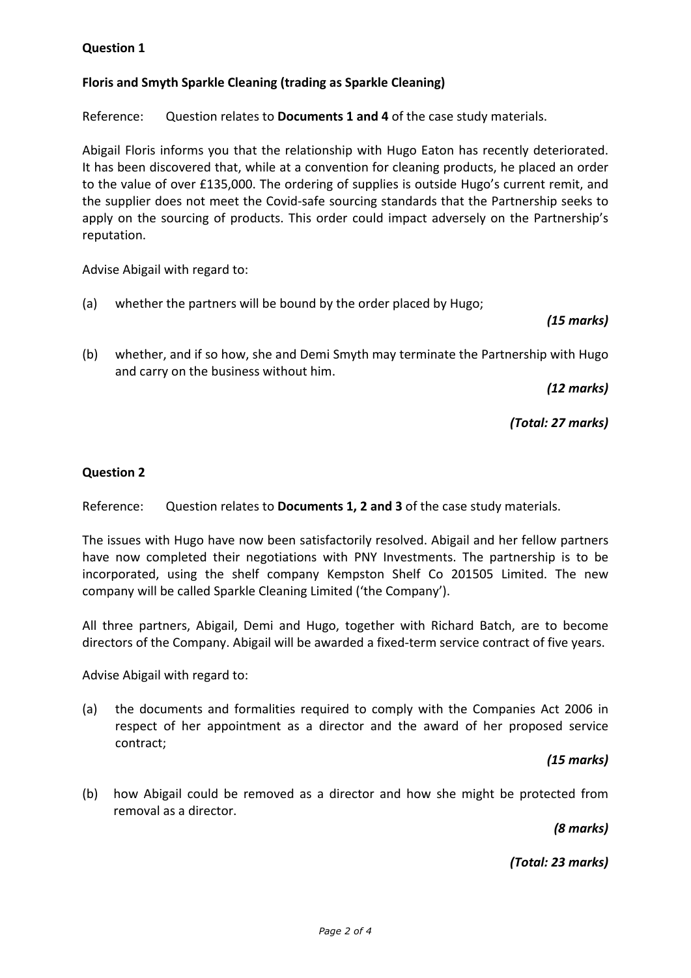# **Question 1**

# **Floris and Smyth Sparkle Cleaning (trading as Sparkle Cleaning)**

Reference: Question relates to **Documents 1 and 4** of the case study materials.

Abigail Floris informs you that the relationship with Hugo Eaton has recently deteriorated. It has been discovered that, while at a convention for cleaning products, he placed an order to the value of over £135,000. The ordering of supplies is outside Hugo's current remit, and the supplier does not meet the Covid-safe sourcing standards that the Partnership seeks to apply on the sourcing of products. This order could impact adversely on the Partnership's reputation.

Advise Abigail with regard to:

(a) whether the partners will be bound by the order placed by Hugo;

## *(15 marks)*

(b) whether, and if so how, she and Demi Smyth may terminate the Partnership with Hugo and carry on the business without him.

*(12 marks)*

*(Total: 27 marks)*

### **Question 2**

Reference: Question relates to **Documents 1, 2 and 3** of the case study materials.

The issues with Hugo have now been satisfactorily resolved. Abigail and her fellow partners have now completed their negotiations with PNY Investments. The partnership is to be incorporated, using the shelf company Kempston Shelf Co 201505 Limited. The new company will be called Sparkle Cleaning Limited ('the Company').

All three partners, Abigail, Demi and Hugo, together with Richard Batch, are to become directors of the Company. Abigail will be awarded a fixed-term service contract of five years.

Advise Abigail with regard to:

(a) the documents and formalities required to comply with the Companies Act 2006 in respect of her appointment as a director and the award of her proposed service contract;

## *(15 marks)*

(b) how Abigail could be removed as a director and how she might be protected from removal as a director.

*(8 marks)*

*(Total: 23 marks)*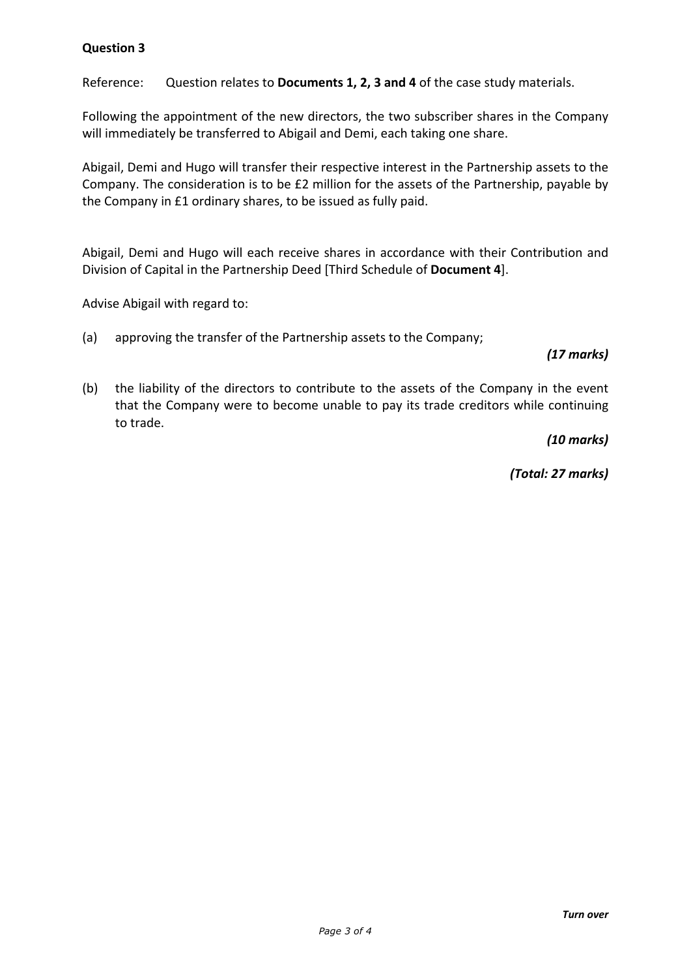# **Question 3**

Reference: Question relates to **Documents 1, 2, 3 and 4** of the case study materials.

Following the appointment of the new directors, the two subscriber shares in the Company will immediately be transferred to Abigail and Demi, each taking one share.

Abigail, Demi and Hugo will transfer their respective interest in the Partnership assets to the Company. The consideration is to be £2 million for the assets of the Partnership, payable by the Company in £1 ordinary shares, to be issued as fully paid.

Abigail, Demi and Hugo will each receive shares in accordance with their Contribution and Division of Capital in the Partnership Deed [Third Schedule of **Document 4**].

Advise Abigail with regard to:

(a) approving the transfer of the Partnership assets to the Company;

### *(17 marks)*

(b) the liability of the directors to contribute to the assets of the Company in the event that the Company were to become unable to pay its trade creditors while continuing to trade.

*(10 marks)*

*(Total: 27 marks)*